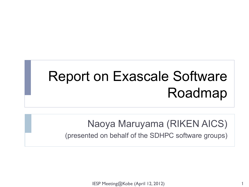# Report on Exascale Software Roadmap

Naoya Maruyama (RIKEN AICS)

(presented on behalf of the SDHPC software groups)

IESP Meeting@Kobe (April 12, 2012)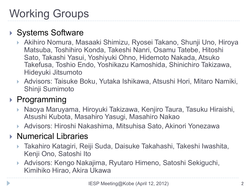# Working Groups

#### ▶ Systems Software

- ▶ Akihiro Nomura, Masaaki Shimizu, Ryosei Takano, Shunji Uno, Hiroya Matsuba, Toshihiro Konda, Takeshi Nanri, Osamu Tatebe, Hitoshi Sato, Takashi Yasui, Yoshiyuki Ohno, Hidemoto Nakada, Atsuko Takefusa, Toshio Endo, Yoshikazu Kamoshida, Shinichiro Takizawa, Hideyuki Jitsumoto
- ▶ Advisors: Taisuke Boku, Yutaka Ishikawa, Atsushi Hori, Mitaro Namiki, Shinji Sumimoto

#### ▶ Programming

- } Naoya Maruyama, Hiroyuki Takizawa, Kenjiro Taura, Tasuku Hiraishi, Atsushi Kubota, Masahiro Yasugi, Masahiro Nakao
- ▶ Advisors: Hiroshi Nakashima, Mitsuhisa Sato, Akinori Yonezawa

#### ▶ Numerical Libraries

- ▶ Takahiro Katagiri, Reiji Suda, Daisuke Takahashi, Takeshi Iwashita, Kenji Ono, Satoshi Ito
- } Advisors: Kengo Nakajima, Ryutaro Himeno, Satoshi Sekiguchi, Kimihiko Hirao, Akira Ukawa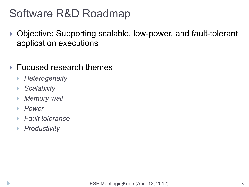### Software R&D Roadmap

- ▶ Objective: Supporting scalable, low-power, and fault-tolerant application executions
- ▶ Focused research themes
	- } *Heterogeneity*
	- } *Scalability*
	- **Memory wall**
	- } *Power*
	- } *Fault tolerance*
	- } *Productivity*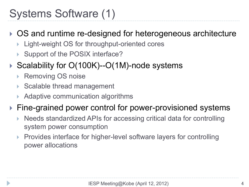### Systems Software (1)

- ▶ OS and runtime re-designed for heterogeneous architecture
	- Light-weight OS for throughput-oriented cores
	- ▶ Support of the POSIX interface?
- ▶ Scalability for O(100K)--O(1M)-node systems
	- **Removing OS noise**
	- ▶ Scalable thread management
	- Adaptive communication algorithms
- ▶ Fine-grained power control for power-provisioned systems
	- Needs standardized APIs for accessing critical data for controlling system power consumption
	- Provides interface for higher-level software layers for controlling power allocations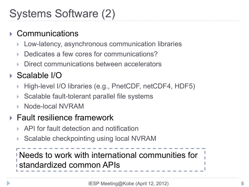### Systems Software (2)

#### **Communications**

- Low-latency, asynchronous communication libraries
- Dedicates a few cores for communications?
- Direct communications between accelerators

#### ▶ Scalable I/O

- } High-level I/O libraries (e.g., PnetCDF, netCDF4, HDF5)
- Scalable fault-tolerant parallel file systems
- } Node-local NVRAM

#### ▶ Fault resilience framework

- } API for fault detection and notification
- Scalable checkpointing using local NVRAM

Needs to work with international communities for standardized common APIs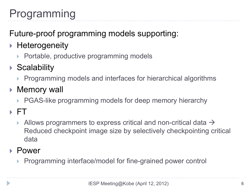# Programming

Future-proof programming models supporting:

- ▶ Heterogeneity
	- ▶ Portable, productive programming models
- ▶ Scalability
	- ▶ Programming models and interfaces for hierarchical algorithms
- ▶ Memory wall
	- ▶ PGAS-like programming models for deep memory hierarchy
- } FT
	- Allows programmers to express critical and non-critical data  $\rightarrow$ Reduced checkpoint image size by selectively checkpointing critical data
- ▶ Power
	- ▶ Programming interface/model for fine-grained power control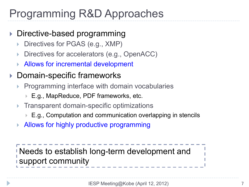### Programming R&D Approaches

- Directive-based programming
	- Directives for PGAS (e.g., XMP)
	- Directives for accelerators (e.g., OpenACC)
	- Allows for incremental development
- ▶ Domain-specific frameworks
	- Programming interface with domain vocabularies
		- } E.g., MapReduce, PDF frameworks, etc.
	- } Transparent domain-specific optimizations
		- ▶ E.g., Computation and communication overlapping in stencils
	- ▶ Allows for highly productive programming

Needs to establish long-term development and support community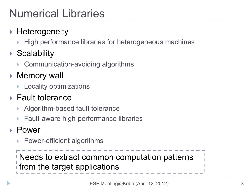# Numerical Libraries

#### ▶ Heterogeneity

- High performance libraries for heterogeneous machines
- **Scalability** 
	- ▶ Communication-avoiding algorithms
- ▶ Memory wall
	- ▶ Locality optimizations
- $\blacktriangleright$  Fault tolerance
	- Algorithm-based fault tolerance
	- Fault-aware high-performance libraries

#### ▶ Power

▶ Power-efficient algorithms

Needs to extract common computation patterns from the target applications